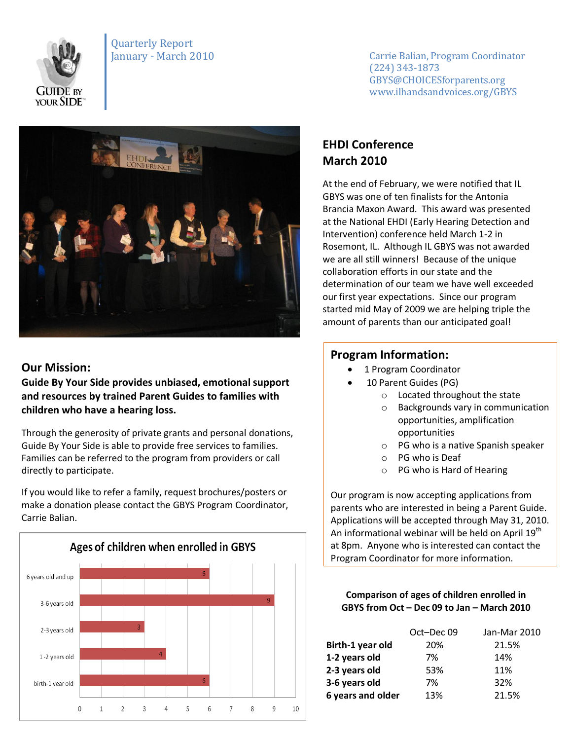

Quarterly Report

January - March 2010 **Carrie Balian, Program Coordinator** (224) 343-1873 GBYS@CHOICESforparents.org www.ilhandsandvoices.org/GBYS



### **Our Mission:**

**Guide By Your Side provides unbiased, emotional support and resources by trained Parent Guides to families with children who have a hearing loss.** 

Through the generosity of private grants and personal donations, Guide By Your Side is able to provide free services to families. Families can be referred to the program from providers or call directly to participate.

If you would like to refer a family, request brochures/posters or make a donation please contact the GBYS Program Coordinator, Carrie Balian.



# **EHDI Conference March 2010**

At the end of February, we were notified that IL GBYS was one of ten finalists for the Antonia Brancia Maxon Award. This award was presented at the National EHDI (Early Hearing Detection and Intervention) conference held March 1-2 in Rosemont, IL. Although IL GBYS was not awarded we are all still winners! Because of the unique collaboration efforts in our state and the determination of our team we have well exceeded our first year expectations. Since our program started mid May of 2009 we are helping triple the amount of parents than our anticipated goal!

## **Program Information:**

- 1 Program Coordinator
- 10 Parent Guides (PG)
	- o Located throughout the state
	- o Backgrounds vary in communication opportunities, amplification opportunities
	- o PG who is a native Spanish speaker
	- o PG who is Deaf
	- o PG who is Hard of Hearing

Our program is now accepting applications from parents who are interested in being a Parent Guide. Applications will be accepted through May 31, 2010. An informational webinar will be held on April 19<sup>th</sup> at 8pm. Anyone who is interested can contact the Program Coordinator for more information.

#### **Comparison of ages of children enrolled in GBYS from Oct – Dec 09 to Jan – March 2010**

|                   | Oct-Dec 09 | Jan-Mar 2010 |
|-------------------|------------|--------------|
| Birth-1 year old  | 20%        | 21.5%        |
| 1-2 years old     | 7%         | 14%          |
| 2-3 years old     | 53%        | 11%          |
| 3-6 years old     | 7%         | 32%          |
| 6 years and older | 13%        | 21.5%        |